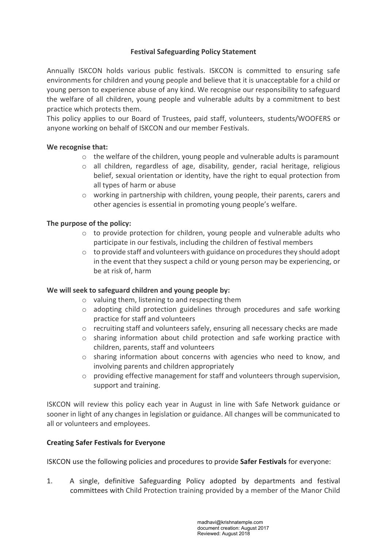# **Festival Safeguarding Policy Statement**

Annually ISKCON holds various public festivals. ISKCON is committed to ensuring safe environments for children and young people and believe that it is unacceptable for a child or young person to experience abuse of any kind. We recognise our responsibility to safeguard the welfare of all children, young people and vulnerable adults by a commitment to best practice which protects them.

This policy applies to our Board of Trustees, paid staff, volunteers, students/WOOFERS or anyone working on behalf of ISKCON and our member Festivals.

### We recognise that:

- $\circ$  the welfare of the children, young people and vulnerable adults is paramount
- $\circ$  all children, regardless of age, disability, gender, racial heritage, religious belief, sexual orientation or identity, have the right to equal protection from all types of harm or abuse
- $\circ$  working in partnership with children, young people, their parents, carers and other agencies is essential in promoting young people's welfare.

# The purpose of the policy:

- $\circ$  to provide protection for children, young people and vulnerable adults who participate in our festivals, including the children of festival members
- $\circ$  to provide staff and volunteers with guidance on procedures they should adopt in the event that they suspect a child or young person may be experiencing, or be at risk of, harm

### We will seek to safeguard children and young people by:

- $\circ$  valuing them, listening to and respecting them
- $\circ$  adopting child protection guidelines through procedures and safe working practice for staff and volunteers
- $\circ$  recruiting staff and volunteers safely, ensuring all necessary checks are made
- $\circ$  sharing information about child protection and safe working practice with children, parents, staff and volunteers
- $\circ$  sharing information about concerns with agencies who need to know, and involving parents and children appropriately
- $\circ$  providing effective management for staff and volunteers through supervision, support and training.

**ISKCON** will review this policy each year in August in line with Safe Network guidance or sooner in light of any changes in legislation or guidance. All changes will be communicated to all or volunteers and employees.

### **Creating Safer Festivals for Everyone**

**ISKCON** use the following policies and procedures to provide **Safer Festivals** for everyone:

1. A single, definitive Safeguarding Policy adopted by departments and festival committees with Child Protection training provided by a member of the Manor Child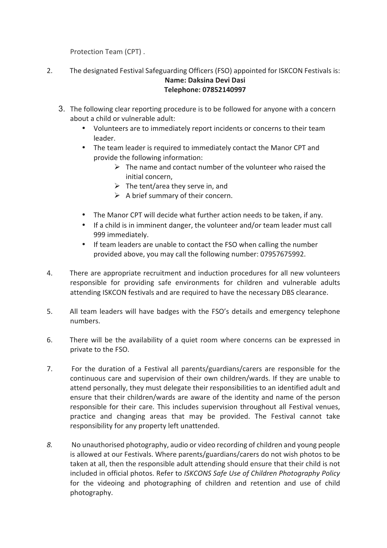Protection Team (CPT).

- 2. The designated Festival Safeguarding Officers (FSO) appointed for ISKCON Festivals is: **Name: Daksina Devi Dasi Telephone: 07852140997**
	- 3. The following clear reporting procedure is to be followed for anyone with a concern about a child or vulnerable  $\alpha$ dult:
		- Volunteers are to immediately report incidents or concerns to their team leader.
		- The team leader is required to immediately contact the Manor CPT and provide the following information:
			- $\triangleright$  The name and contact number of the volunteer who raised the initial concern.
			- $\triangleright$  The tent/area they serve in, and
			- $\triangleright$  A brief summary of their concern.
		- The Manor CPT will decide what further action needs to be taken, if any.
		- If a child is in imminent danger, the volunteer and/or team leader must call 999 immediately.
		- If team leaders are unable to contact the FSO when calling the number provided above, you may call the following number: 07957675992.
- 4. There are appropriate recruitment and induction procedures for all new volunteers responsible for providing safe environments for children and vulnerable adults attending ISKCON festivals and are required to have the necessary DBS clearance.
- 5. All team leaders will have badges with the FSO's details and emergency telephone numbers.
- 6. There will be the availability of a quiet room where concerns can be expressed in private to the FSO.
- 7. For the duration of a Festival all parents/guardians/carers are responsible for the continuous care and supervision of their own children/wards. If they are unable to attend personally, they must delegate their responsibilities to an identified adult and ensure that their children/wards are aware of the identity and name of the person responsible for their care. This includes supervision throughout all Festival venues, practice and changing areas that may be provided. The Festival cannot take responsibility for any property left unattended.
- 8. No unauthorised photography, audio or video recording of children and young people is allowed at our Festivals. Where parents/guardians/carers do not wish photos to be taken at all, then the responsible adult attending should ensure that their child is not included in official photos. Refer to *ISKCONS Safe Use of Children Photography Policy* for the videoing and photographing of children and retention and use of child photography.